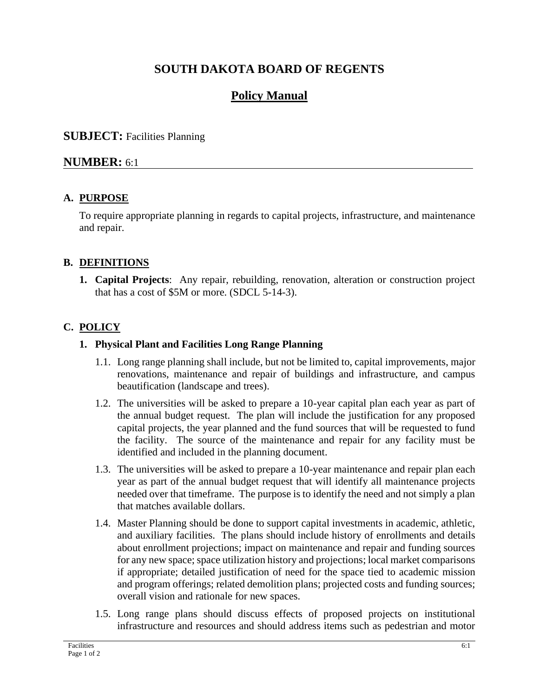# **SOUTH DAKOTA BOARD OF REGENTS**

# **Policy Manual**

#### **SUBJECT:** Facilities Planning

#### **NUMBER:** 6:1

#### **A. PURPOSE**

To require appropriate planning in regards to capital projects, infrastructure, and maintenance and repair.

#### **B. DEFINITIONS**

**1. Capital Projects**: Any repair, rebuilding, renovation, alteration or construction project that has a cost of \$5M or more. (SDCL 5-14-3).

#### **C. POLICY**

#### **1. Physical Plant and Facilities Long Range Planning**

- 1.1. Long range planning shall include, but not be limited to, capital improvements, major renovations, maintenance and repair of buildings and infrastructure, and campus beautification (landscape and trees).
- 1.2. The universities will be asked to prepare a 10-year capital plan each year as part of the annual budget request. The plan will include the justification for any proposed capital projects, the year planned and the fund sources that will be requested to fund the facility. The source of the maintenance and repair for any facility must be identified and included in the planning document.
- 1.3. The universities will be asked to prepare a 10-year maintenance and repair plan each year as part of the annual budget request that will identify all maintenance projects needed over that timeframe. The purpose is to identify the need and not simply a plan that matches available dollars.
- 1.4. Master Planning should be done to support capital investments in academic, athletic, and auxiliary facilities. The plans should include history of enrollments and details about enrollment projections; impact on maintenance and repair and funding sources for any new space; space utilization history and projections; local market comparisons if appropriate; detailed justification of need for the space tied to academic mission and program offerings; related demolition plans; projected costs and funding sources; overall vision and rationale for new spaces.
- 1.5. Long range plans should discuss effects of proposed projects on institutional infrastructure and resources and should address items such as pedestrian and motor